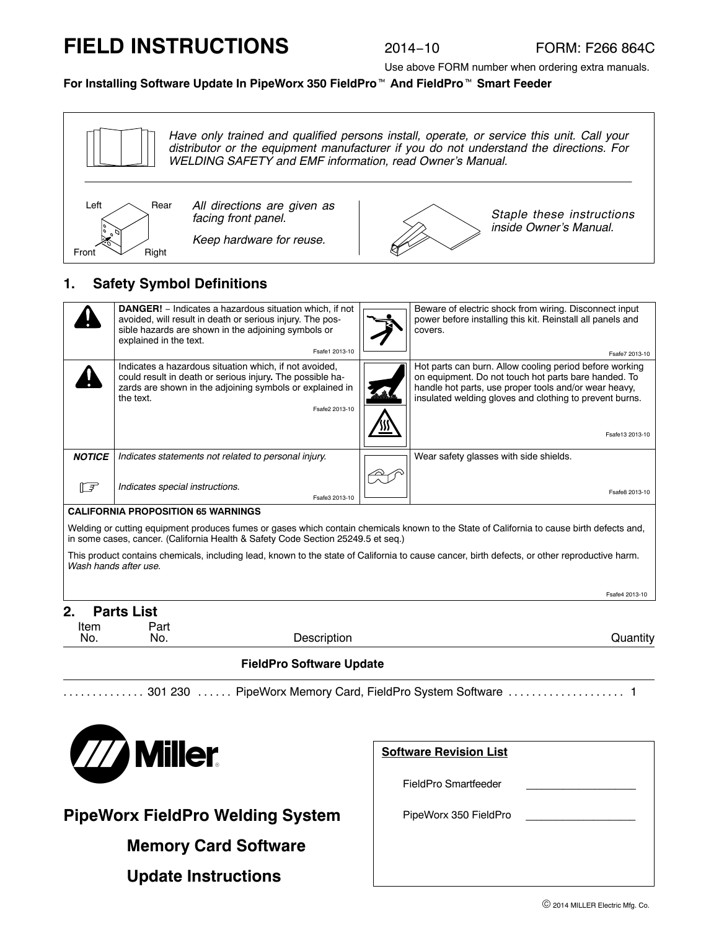# **FIELD INSTRUCTIONS**

Use above FORM number when ordering extra manuals.

# **For Installing Software Update In PipeWorx 350 FieldPro**- **And FieldPro**- **Smart Feeder**



# **1. Safety Symbol Definitions**

| <b>DANGER!</b> - Indicates a hazardous situation which, if not<br>avoided, will result in death or serious injury. The pos-<br>sible hazards are shown in the adjoining symbols or<br>covers.<br>explained in the text.<br>Fsafe1 2013-10 | Beware of electric shock from wiring. Disconnect input<br>power before installing this kit. Reinstall all panels and<br>Fsafe7 2013-10                                                                                                                 |  |  |  |
|-------------------------------------------------------------------------------------------------------------------------------------------------------------------------------------------------------------------------------------------|--------------------------------------------------------------------------------------------------------------------------------------------------------------------------------------------------------------------------------------------------------|--|--|--|
| Indicates a hazardous situation which, if not avoided,<br>could result in death or serious injury. The possible ha-<br>zards are shown in the adjoining symbols or explained in<br>the text.<br>Fsafe2 2013-10                            | Hot parts can burn. Allow cooling period before working<br>on equipment. Do not touch hot parts bare handed. To<br>handle hot parts, use proper tools and/or wear heavy,<br>insulated welding gloves and clothing to prevent burns.<br>Fsafe13 2013-10 |  |  |  |
| <b>NOTICE</b><br>Indicates statements not related to personal injury.<br>Wear safety glasses with side shields.                                                                                                                           |                                                                                                                                                                                                                                                        |  |  |  |
| 一子<br>Indicates special instructions.<br>Fsafe3 2013-10                                                                                                                                                                                   | Fsafe8 2013-10                                                                                                                                                                                                                                         |  |  |  |
| <b>CALIFORNIA PROPOSITION 65 WARNINGS</b>                                                                                                                                                                                                 |                                                                                                                                                                                                                                                        |  |  |  |
| Welding or cutting equipment produces fumes or gases which contain chemicals known to the State of California to cause birth defects and,<br>in some cases, cancer. (California Health & Safety Code Section 25249.5 et seq.)             |                                                                                                                                                                                                                                                        |  |  |  |
| This product contains chemicals, including lead, known to the state of California to cause cancer, birth defects, or other reproductive harm.<br>Wash hands after use.                                                                    |                                                                                                                                                                                                                                                        |  |  |  |
|                                                                                                                                                                                                                                           | Fsafe4 2013-10                                                                                                                                                                                                                                         |  |  |  |

#### **2. Parts List**

| . .<br>י שונט בוטג |      |             |                                             |
|--------------------|------|-------------|---------------------------------------------|
| Item               | Part |             |                                             |
| No.                | No.  | Description | the contract of the con-<br><b>Juantity</b> |

#### **FieldPro Software Update**

.............. ...... .................... 301 230 PipeWorx Memory Card, FieldPro System Software 1



# **PipeWorx FieldPro Welding System**

**Memory Card Software**

**Update Instructions**

| <b>Software Revision List</b> |  |  |  |  |
|-------------------------------|--|--|--|--|
| FieldPro Smartfeeder          |  |  |  |  |
| PipeWorx 350 FieldPro         |  |  |  |  |
|                               |  |  |  |  |
|                               |  |  |  |  |